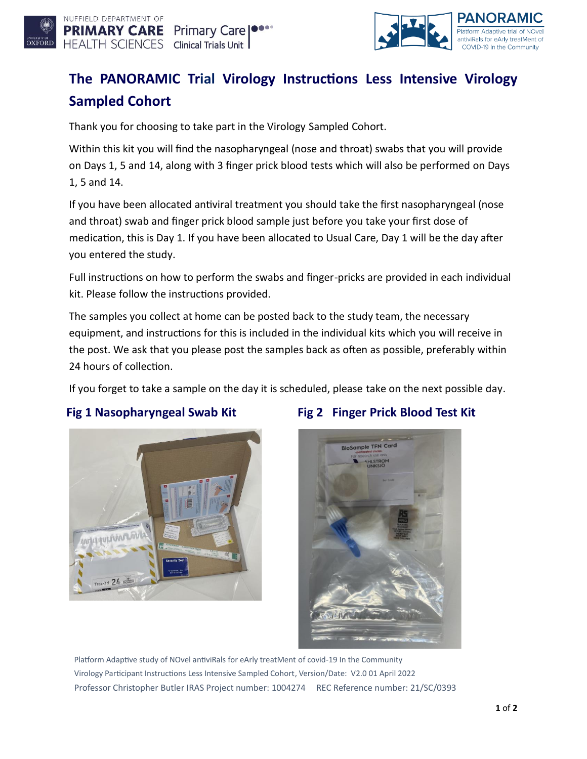



# **The PANORAMIC Trial Virology Instructions Less Intensive Virology Sampled Cohort**

Thank you for choosing to take part in the Virology Sampled Cohort.

Within this kit you will find the nasopharyngeal (nose and throat) swabs that you will provide on Days 1, 5 and 14, along with 3 finger prick blood tests which will also be performed on Days 1, 5 and 14.

If you have been allocated antiviral treatment you should take the first nasopharyngeal (nose and throat) swab and finger prick blood sample just before you take your first dose of medication, this is Day 1. If you have been allocated to Usual Care, Day 1 will be the day after you entered the study.

Full instructions on how to perform the swabs and finger-pricks are provided in each individual kit. Please follow the instructions provided.

The samples you collect at home can be posted back to the study team, the necessary equipment, and instructions for this is included in the individual kits which you will receive in the post. We ask that you please post the samples back as often as possible, preferably within 24 hours of collection.

If you forget to take a sample on the day it is scheduled, please take on the next possible day.



# **Fig 1 Nasopharyngeal Swab Kit** Fig 2 Finger Prick Blood Test Kit



Platform Adaptive study of NOvel antiviRals for eArly treatMent of covid-19 In the Community Virology Participant Instructions Less Intensive Sampled Cohort, Version/Date: V2.0 01 April 2022 Professor Christopher Butler IRAS Project number: 1004274 REC Reference number: 21/SC/0393